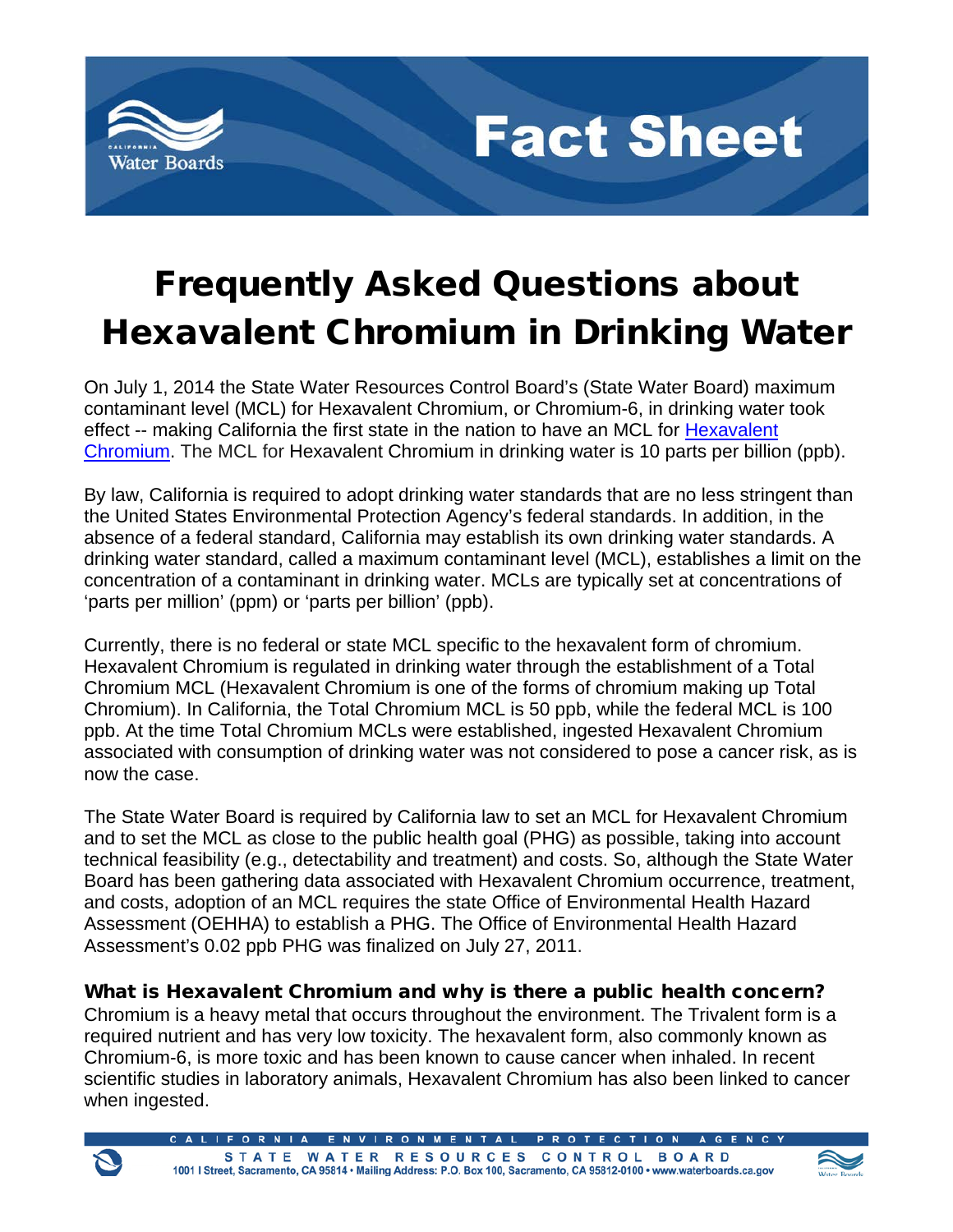

# Frequently Asked Questions about Hexavalent Chromium in Drinking Water

**Fact Sheet** 

On July 1, 2014 the State Water Resources Control Board's (State Water Board) maximum contaminant level (MCL) for Hexavalent Chromium, or Chromium-6, in drinking water took effect -- making California the first state in the nation to have an MCL for Hexavalent [Chromium.](http://www.waterboards.ca.gov/drinking_water/certlic/drinkingwater/Chromium6.shtml) The MCL for Hexavalent Chromium in drinking water is 10 parts per billion (ppb).

By law, California is required to adopt drinking water standards that are no less stringent than the United States Environmental Protection Agency's federal standards. In addition, in the absence of a federal standard, California may establish its own drinking water standards. A drinking water standard, called a maximum contaminant level (MCL), establishes a limit on the concentration of a contaminant in drinking water. MCLs are typically set at concentrations of 'parts per million' (ppm) or 'parts per billion' (ppb).

Currently, there is no federal or state MCL specific to the hexavalent form of chromium. Hexavalent Chromium is regulated in drinking water through the establishment of a Total Chromium MCL (Hexavalent Chromium is one of the forms of chromium making up Total Chromium). In California, the Total Chromium MCL is 50 ppb, while the federal MCL is 100 ppb. At the time Total Chromium MCLs were established, ingested Hexavalent Chromium associated with consumption of drinking water was not considered to pose a cancer risk, as is now the case.

The State Water Board is required by California law to set an MCL for Hexavalent Chromium and to set the MCL as close to the public health goal (PHG) as possible, taking into account technical feasibility (e.g., detectability and treatment) and costs. So, although the State Water Board has been gathering data associated with Hexavalent Chromium occurrence, treatment, and costs, adoption of an MCL requires the state Office of Environmental Health Hazard Assessment (OEHHA) to establish a PHG. The Office of Environmental Health Hazard Assessment's 0.02 ppb PHG was finalized on July 27, 2011.

#### What is Hexavalent Chromium and why is there a public health concern?

Chromium is a heavy metal that occurs throughout the environment. The Trivalent form is a required nutrient and has very low toxicity. The hexavalent form, also commonly known as Chromium-6, is more toxic and has been known to cause cancer when inhaled. In recent scientific studies in laboratory animals, Hexavalent Chromium has also been linked to cancer when ingested.

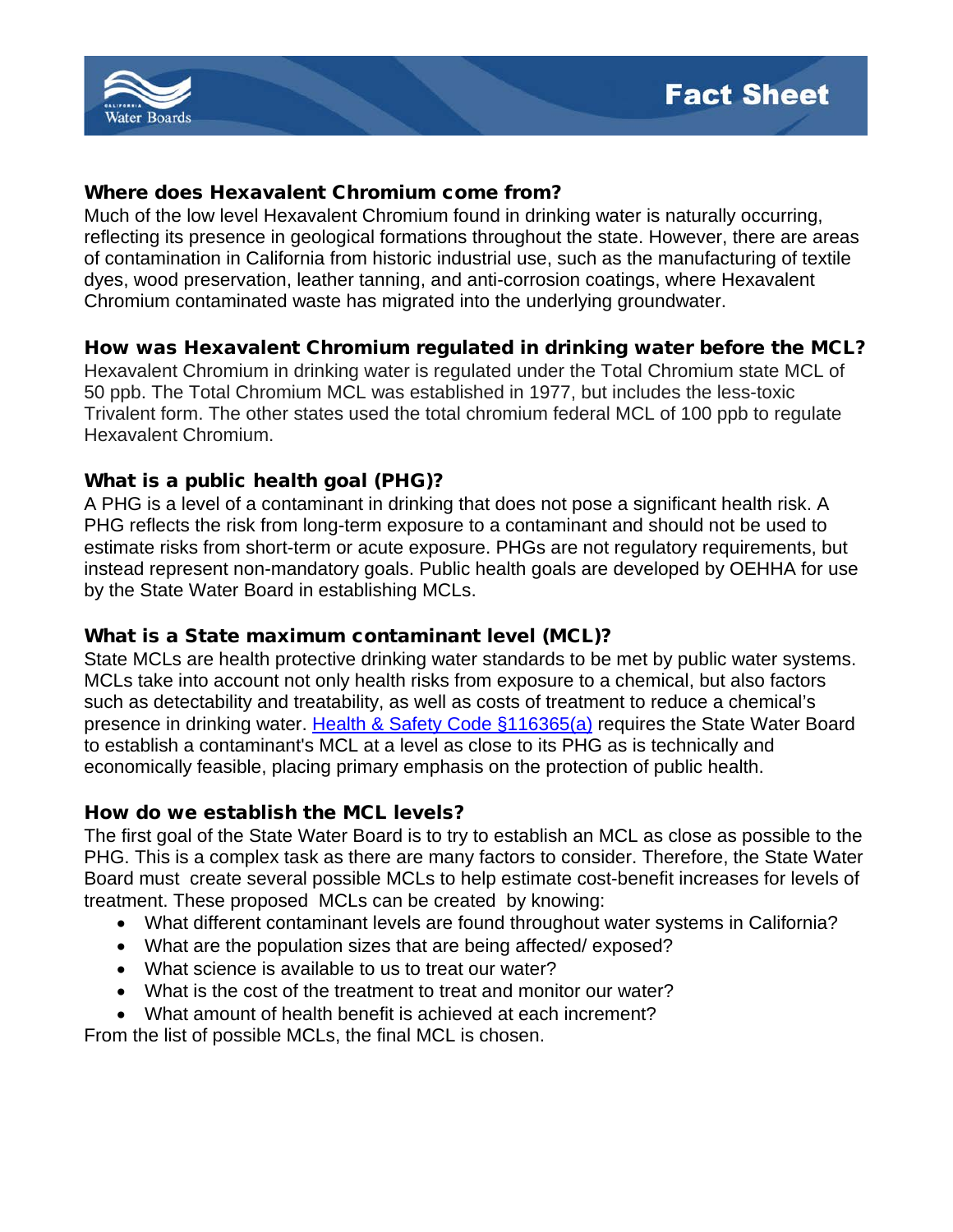

#### Where does Hexavalent Chromium come from?

Much of the low level Hexavalent Chromium found in drinking water is naturally occurring, reflecting its presence in geological formations throughout the state. However, there are areas of contamination in California from historic industrial use, such as the manufacturing of textile dyes, wood preservation, leather tanning, and anti-corrosion coatings, where Hexavalent Chromium contaminated waste has migrated into the underlying groundwater.

#### How was Hexavalent Chromium regulated in drinking water before the MCL?

Hexavalent Chromium in drinking water is regulated under the Total Chromium state MCL of 50 ppb. The Total Chromium MCL was established in 1977, but includes the less-toxic Trivalent form. The other states used the total chromium federal MCL of 100 ppb to regulate Hexavalent Chromium.

#### What is a public health goal (PHG)?

A PHG is a level of a contaminant in drinking that does not pose a significant health risk. A PHG reflects the risk from long-term exposure to a contaminant and should not be used to estimate risks from short-term or acute exposure. PHGs are not regulatory requirements, but instead represent non-mandatory goals. Public health goals are developed by OEHHA for use by the State Water Board in establishing MCLs.

#### What is a State maximum contaminant level (MCL)?

State MCLs are health protective drinking water standards to be met by public water systems. MCLs take into account not only health risks from exposure to a chemical, but also factors such as detectability and treatability, as well as costs of treatment to reduce a chemical's presence in drinking water. [Health & Safety Code §116365\(a\)](http://www.waterboards.ca.gov/drinking_water/certlic/drinkingwater/documents/lawbook/dwstatutes-2014_07_01.pdf) requires the State Water Board to establish a contaminant's MCL at a level as close to its PHG as is technically and economically feasible, placing primary emphasis on the protection of public health.

#### How do we establish the MCL levels?

The first goal of the State Water Board is to try to establish an MCL as close as possible to the PHG. This is a complex task as there are many factors to consider. Therefore, the State Water Board must create several possible MCLs to help estimate cost-benefit increases for levels of treatment. These proposed MCLs can be created by knowing:

- What different contaminant levels are found throughout water systems in California?
- What are the population sizes that are being affected/ exposed?
- What science is available to us to treat our water?
- What is the cost of the treatment to treat and monitor our water?
- What amount of health benefit is achieved at each increment?

From the list of possible MCLs, the final MCL is chosen.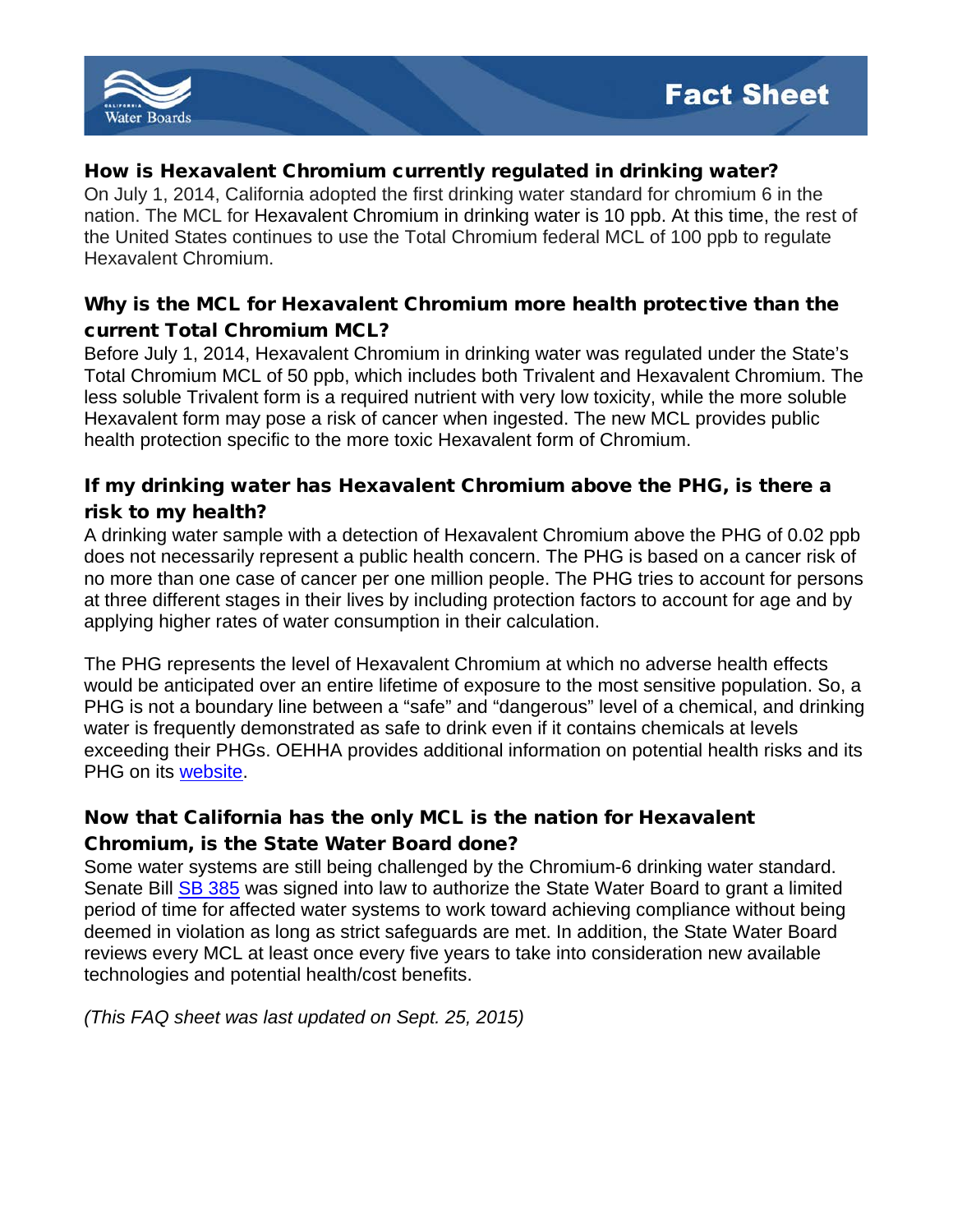

#### How is Hexavalent Chromium currently regulated in drinking water?

On July 1, 2014, California adopted the first drinking water standard for chromium 6 in the nation. The MCL for Hexavalent Chromium in drinking water is 10 ppb. At this time, the rest of the United States continues to use the Total Chromium federal MCL of 100 ppb to regulate Hexavalent Chromium.

#### Why is the MCL for Hexavalent Chromium more health protective than the current Total Chromium MCL?

Before July 1, 2014, Hexavalent Chromium in drinking water was regulated under the State's Total Chromium MCL of 50 ppb, which includes both Trivalent and Hexavalent Chromium. The less soluble Trivalent form is a required nutrient with very low toxicity, while the more soluble Hexavalent form may pose a risk of cancer when ingested. The new MCL provides public health protection specific to the more toxic Hexavalent form of Chromium.

### If my drinking water has Hexavalent Chromium above the PHG, is there a risk to my health?

A drinking water sample with a detection of Hexavalent Chromium above the PHG of 0.02 ppb does not necessarily represent a public health concern. The PHG is based on a cancer risk of no more than one case of cancer per one million people. The PHG tries to account for persons at three different stages in their lives by including protection factors to account for age and by applying higher rates of water consumption in their calculation.

The PHG represents the level of Hexavalent Chromium at which no adverse health effects would be anticipated over an entire lifetime of exposure to the most sensitive population. So, a PHG is not a boundary line between a "safe" and "dangerous" level of a chemical, and drinking water is frequently demonstrated as safe to drink even if it contains chemicals at levels exceeding their PHGs. OEHHA provides additional information on potential health risks and its PHG on its [website.](http://www.oehha.ca.gov/water/phg/pdf/HexChromfacts082009.pdf)

## Now that California has the only MCL is the nation for Hexavalent

#### Chromium, is the State Water Board done?

Some water systems are still being challenged by the Chromium-6 drinking water standard. Senate Bill **SB 385** was signed into law to authorize the State Water Board to grant a limited period of time for affected water systems to work toward achieving compliance without being deemed in violation as long as strict safeguards are met. In addition, the State Water Board reviews every MCL at least once every five years to take into consideration new available technologies and potential health/cost benefits.

*(This FAQ sheet was last updated on Sept. 25, 2015)*